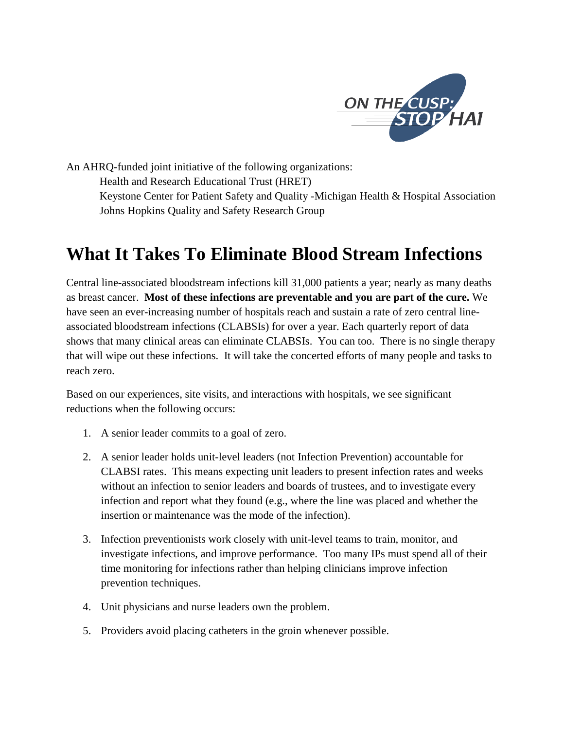

An AHRQ-funded joint initiative of the following organizations: Health and Research Educational Trust (HRET) Keystone Center for Patient Safety and Quality -Michigan Health & Hospital Association Johns Hopkins Quality and Safety Research Group

## **What It Takes To Eliminate Blood Stream Infections**

Central line-associated bloodstream infections kill 31,000 patients a year; nearly as many deaths as breast cancer. **Most of these infections are preventable and you are part of the cure.** We have seen an ever-increasing number of hospitals reach and sustain a rate of zero central lineassociated bloodstream infections (CLABSIs) for over a year. Each quarterly report of data shows that many clinical areas can eliminate CLABSIs. You can too. There is no single therapy that will wipe out these infections. It will take the concerted efforts of many people and tasks to reach zero.

Based on our experiences, site visits, and interactions with hospitals, we see significant reductions when the following occurs:

- 1. A senior leader commits to a goal of zero.
- 2. A senior leader holds unit-level leaders (not Infection Prevention) accountable for CLABSI rates. This means expecting unit leaders to present infection rates and weeks without an infection to senior leaders and boards of trustees, and to investigate every infection and report what they found (e.g., where the line was placed and whether the insertion or maintenance was the mode of the infection).
- 3. Infection preventionists work closely with unit-level teams to train, monitor, and investigate infections, and improve performance. Too many IPs must spend all of their time monitoring for infections rather than helping clinicians improve infection prevention techniques.
- 4. Unit physicians and nurse leaders own the problem.
- 5. Providers avoid placing catheters in the groin whenever possible.